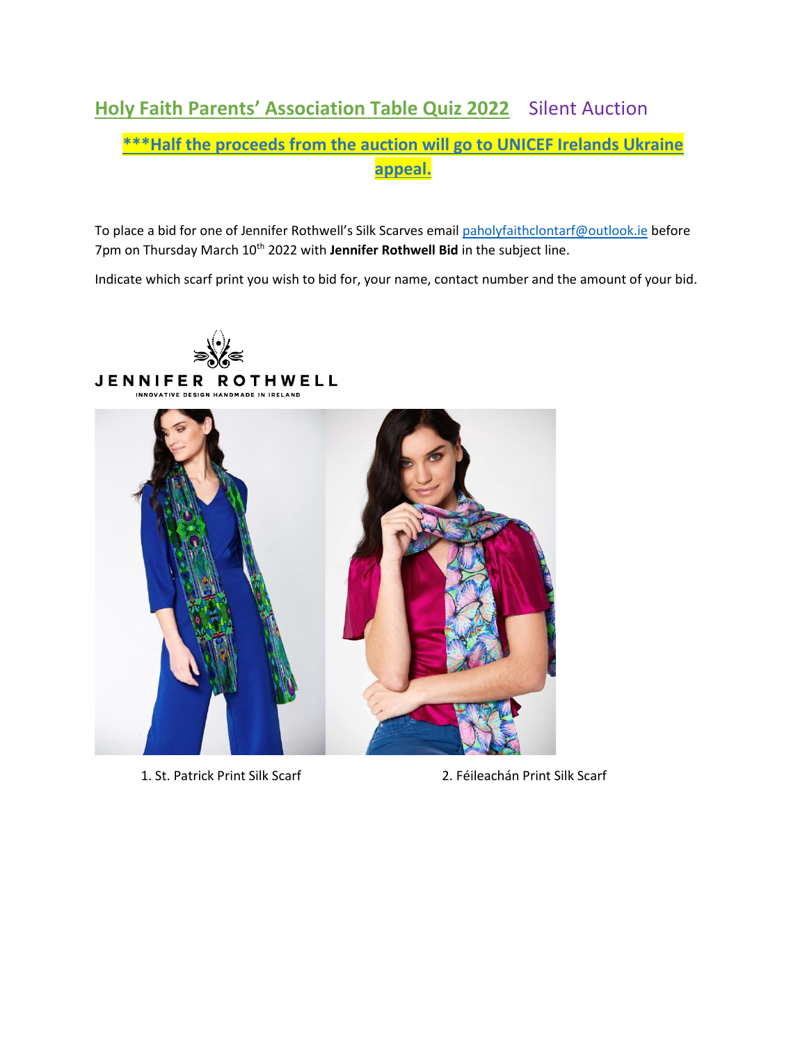## **Holy Faith Parents' Association Table Quiz 2022** Silent Auction

## **\*\*\*Half the proceeds from the auction will go to UNICEF Irelands Ukraine appeal.**

To place a bid for one of Jennifer Rothwell's Silk Scarves email [paholyfaithclontarf@outlook.ie](mailto:paholyfaithclontarf@outlook.ie) before 7pm on Thursday March 10<sup>th</sup> 2022 with Jennifer Rothwell Bid in the subject line.

Indicate which scarf print you wish to bid for, your name, contact number and the amount of your bid.



1. St. Patrick Print Silk Scarf 2. Féileachán Print Silk Scarf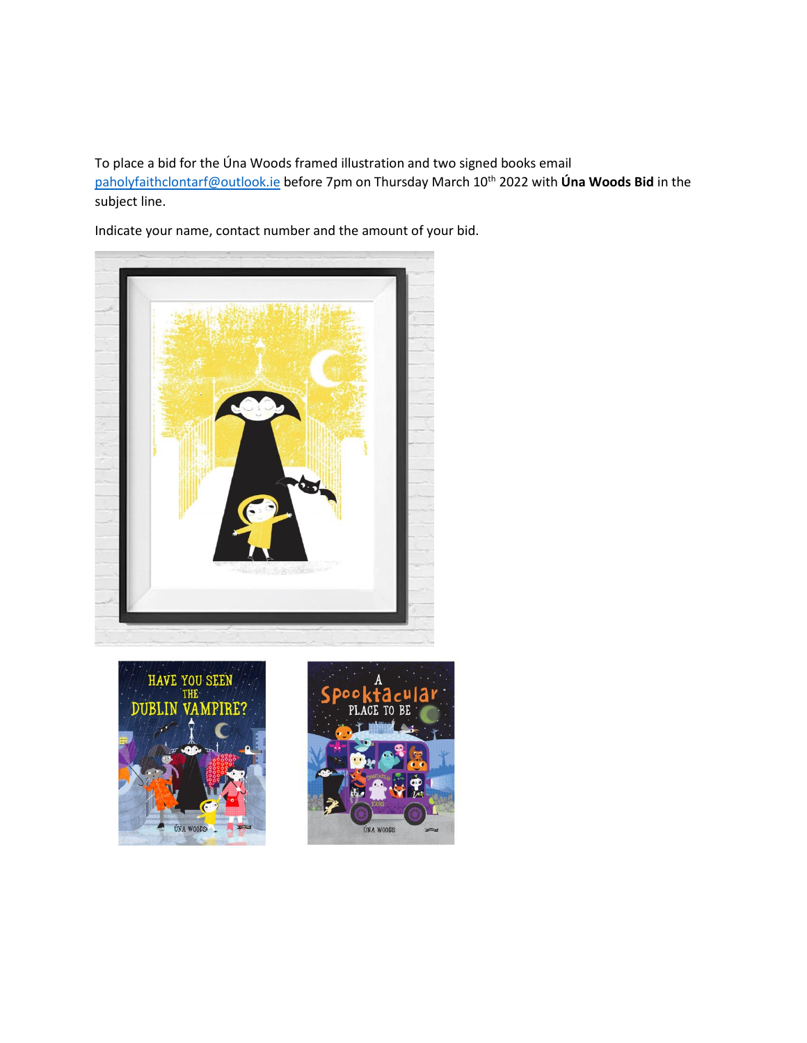To place a bid for the Úna Woods framed illustration and two signed books email [paholyfaithclontarf@outlook.ie](mailto:paholyfaithclontarf@outlook.ie) before 7pm on Thursday March 10th 2022 with **Úna Woods Bid** in the subject line.

Indicate your name, contact number and the amount of your bid.